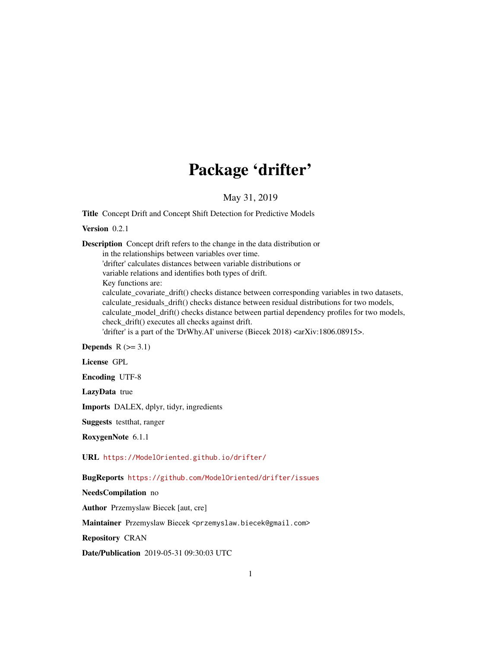## Package 'drifter'

May 31, 2019

Title Concept Drift and Concept Shift Detection for Predictive Models

Version 0.2.1

Description Concept drift refers to the change in the data distribution or in the relationships between variables over time. 'drifter' calculates distances between variable distributions or variable relations and identifies both types of drift. Key functions are: calculate\_covariate\_drift() checks distance between corresponding variables in two datasets, calculate\_residuals\_drift() checks distance between residual distributions for two models, calculate\_model\_drift() checks distance between partial dependency profiles for two models, check\_drift() executes all checks against drift. 'drifter' is a part of the 'DrWhy.AI' universe (Biecek 2018) <arXiv:1806.08915>.

Depends  $R$  ( $>= 3.1$ )

License GPL

Encoding UTF-8

LazyData true

Imports DALEX, dplyr, tidyr, ingredients

Suggests testthat, ranger

RoxygenNote 6.1.1

URL <https://ModelOriented.github.io/drifter/>

BugReports <https://github.com/ModelOriented/drifter/issues>

NeedsCompilation no

Author Przemyslaw Biecek [aut, cre]

Maintainer Przemyslaw Biecek <przemyslaw.biecek@gmail.com>

Repository CRAN

Date/Publication 2019-05-31 09:30:03 UTC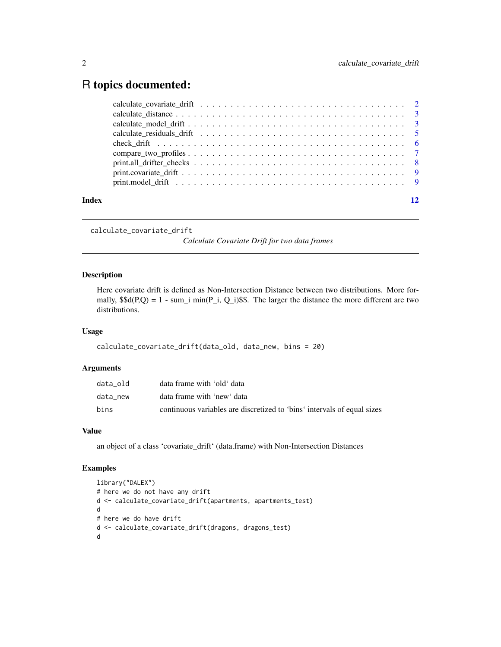### <span id="page-1-0"></span>R topics documented:

| Index |  |  |  |  |  |  |  |  |  |  |  |  |  |  |  |
|-------|--|--|--|--|--|--|--|--|--|--|--|--|--|--|--|

calculate\_covariate\_drift

*Calculate Covariate Drift for two data frames*

#### Description

Here covariate drift is defined as Non-Intersection Distance between two distributions. More formally,  $$d(P,Q) = 1 - sum_i min(P_i, Q_i)$$ \$. The larger the distance the more different are two distributions.

#### Usage

```
calculate_covariate_drift(data_old, data_new, bins = 20)
```
#### Arguments

| data old | data frame with 'old' data                                              |
|----------|-------------------------------------------------------------------------|
| data new | data frame with 'new' data                                              |
| bins     | continuous variables are discretized to 'bins' intervals of equal sizes |

#### Value

an object of a class 'covariate\_drift' (data.frame) with Non-Intersection Distances

#### Examples

```
library("DALEX")
# here we do not have any drift
d <- calculate_covariate_drift(apartments, apartments_test)
d
# here we do have drift
d <- calculate_covariate_drift(dragons, dragons_test)
d
```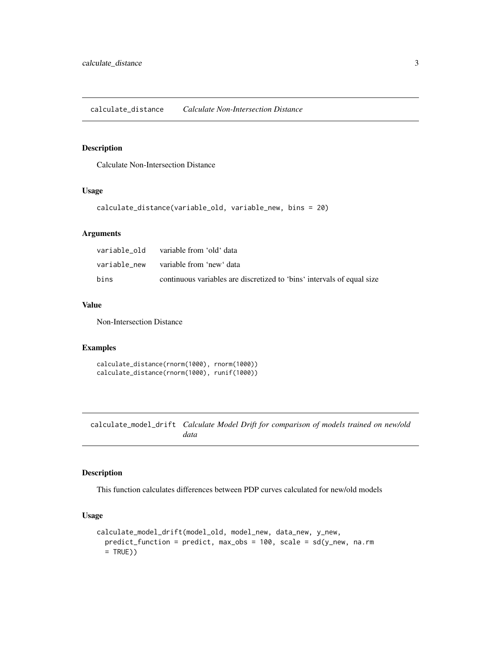#### <span id="page-2-0"></span>Description

Calculate Non-Intersection Distance

#### Usage

```
calculate_distance(variable_old, variable_new, bins = 20)
```
#### Arguments

|      | variable new yariableffrom 'new'data                                   |
|------|------------------------------------------------------------------------|
| bins | continuous variables are discretized to 'bins' intervals of equal size |

#### Value

Non-Intersection Distance

#### Examples

```
calculate_distance(rnorm(1000), rnorm(1000))
calculate_distance(rnorm(1000), runif(1000))
```
calculate\_model\_drift *Calculate Model Drift for comparison of models trained on new/old data*

#### Description

This function calculates differences between PDP curves calculated for new/old models

#### Usage

```
calculate_model_drift(model_old, model_new, data_new, y_new,
 predict_function = predict, max_obs = 100, scale = sd(y_new, na.rm
  = TRUE))
```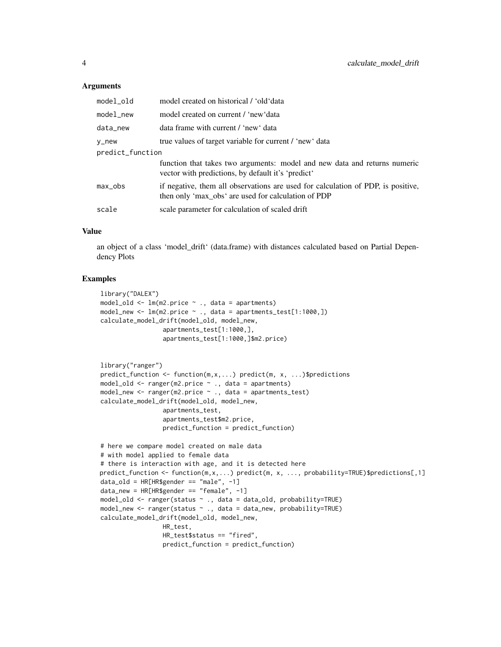#### **Arguments**

| model_old        | model created on historical / 'old'data                                                                                                 |
|------------------|-----------------------------------------------------------------------------------------------------------------------------------------|
| model_new        | model created on current / 'new'data                                                                                                    |
| data_new         | data frame with current / 'new' data                                                                                                    |
| y_new            | true values of target variable for current / 'new' data                                                                                 |
| predict_function |                                                                                                                                         |
|                  | function that takes two arguments: model and new data and returns numeric<br>vector with predictions, by default it's 'predict'         |
| max_obs          | if negative, them all observations are used for calculation of PDP, is positive,<br>then only 'max obs' are used for calculation of PDP |
| scale            | scale parameter for calculation of scaled drift                                                                                         |

#### Value

an object of a class 'model\_drift' (data.frame) with distances calculated based on Partial Dependency Plots

#### Examples

```
library("DALEX")
model_old <- lm(m2.price ~ ., data = apartments)
model_new <- lm(m2.price ~ ~ ., data = apartments_test[1:1000, ])calculate_model_drift(model_old, model_new,
                 apartments_test[1:1000,],
                 apartments_test[1:1000,]$m2.price)
```

```
library("ranger")
predict_function <- function(m,x,...) predict(m, x, ...)$predictions
model_old \leq ranger(m2.price \sim ., data = apartments)
model_new <- ranger(m2.price ~ ., data = apartments_test)
calculate_model_drift(model_old, model_new,
                 apartments_test,
                 apartments_test$m2.price,
                 predict_function = predict_function)
```

```
# here we compare model created on male data
# with model applied to female data
# there is interaction with age, and it is detected here
predict_function <- function(m,x,...) predict(m, x, ..., probability=TRUE)$predictions[,1]
data_old = HR[HR$gender == "male", -1]
data_new = HR[HR$gender == "female", -1]
model_old <- ranger(status ~ ., data = data_old, probability=TRUE)
model_new <- ranger(status ~ ., data = data_new, probability=TRUE)
calculate_model_drift(model_old, model_new,
                 HR_test,
                 HR_test$status == "fired",
                 predict_function = predict_function)
```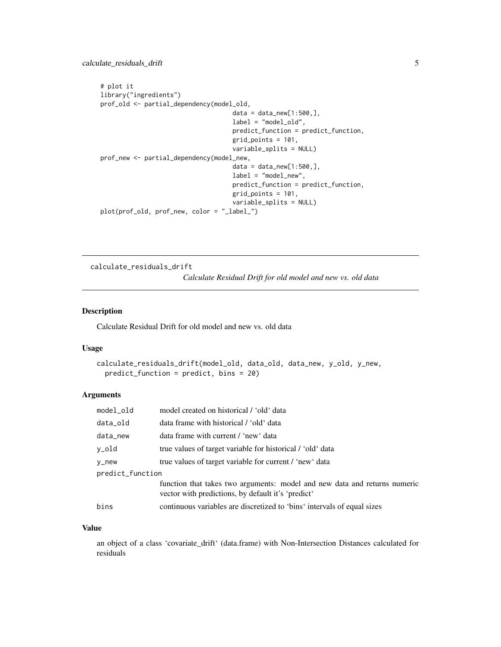```
# plot it
library("ingredients")
prof_old <- partial_dependency(model_old,
                                    data = data_new[1:500,],label = "model_old",
                                    predict_function = predict_function,
                                    grid_points = 101,
                                    variable_splits = NULL)
prof_new <- partial_dependency(model_new,
                                    data = data_new[1:500,],label = "model_new",
                                    predict_function = predict_function,
                                    grid_points = 101,
                                    variable_splits = NULL)
plot(prof_old, prof_new, color = "_label_")
```
calculate\_residuals\_drift

*Calculate Residual Drift for old model and new vs. old data*

#### Description

Calculate Residual Drift for old model and new vs. old data

#### Usage

```
calculate_residuals_drift(model_old, data_old, data_new, y_old, y_new,
 predict_function = predict, bins = 20)
```
#### Arguments

| model_old        | model created on historical / 'old' data                                                                                        |
|------------------|---------------------------------------------------------------------------------------------------------------------------------|
| data_old         | data frame with historical / 'old' data                                                                                         |
| data_new         | data frame with current / 'new' data                                                                                            |
| y_old            | true values of target variable for historical / 'old' data                                                                      |
| y_new            | true values of target variable for current / 'new' data                                                                         |
| predict_function |                                                                                                                                 |
|                  | function that takes two arguments: model and new data and returns numeric<br>vector with predictions, by default it's 'predict' |
| bins             | continuous variables are discretized to 'bins' intervals of equal sizes                                                         |

#### Value

an object of a class 'covariate\_drift' (data.frame) with Non-Intersection Distances calculated for residuals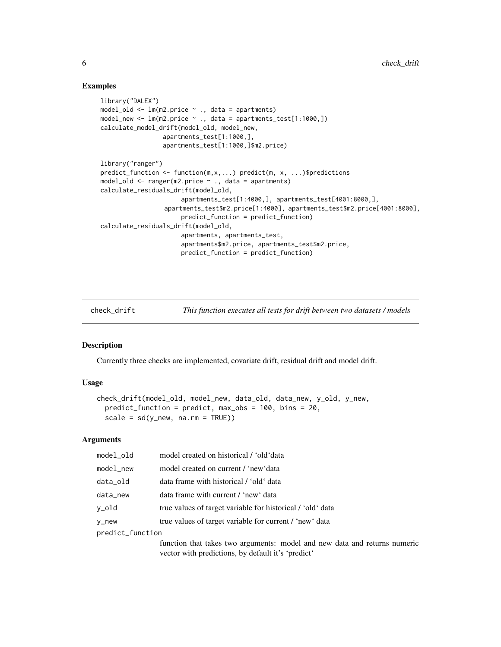#### Examples

```
library("DALEX")
model_old <- lm(m2.price ~ ., data = apartments)
model_new <- lm(m2.price ~ ., data = apartments_test[1:1000,])
calculate_model_drift(model_old, model_new,
                 apartments_test[1:1000,],
                 apartments_test[1:1000,]$m2.price)
library("ranger")
predict_function <- function(m,x,...) predict(m, x, ...)$predictions
model_old <- ranger(m2.price ~ ., data = apartments)
calculate_residuals_drift(model_old,
                      apartments_test[1:4000,], apartments_test[4001:8000,],
                 apartments_test$m2.price[1:4000], apartments_test$m2.price[4001:8000],
                      predict_function = predict_function)
calculate_residuals_drift(model_old,
                      apartments, apartments_test,
                      apartments$m2.price, apartments_test$m2.price,
                      predict_function = predict_function)
```
check\_drift *This function executes all tests for drift between two datasets / models*

#### Description

Currently three checks are implemented, covariate drift, residual drift and model drift.

#### Usage

```
check_drift(model_old, model_new, data_old, data_new, y_old, y_new,
 predict_function = predict, max_obs = 100, bins = 20,
  scale = sd(y_new, na.rm = TRUE))
```
#### Arguments

| model_old        | model created on historical / 'old'data                                                                                         |
|------------------|---------------------------------------------------------------------------------------------------------------------------------|
| model_new        | model created on current / 'new'data                                                                                            |
| data_old         | data frame with historical / 'old' data                                                                                         |
| data_new         | data frame with current / 'new' data                                                                                            |
| y_old            | true values of target variable for historical / 'old' data                                                                      |
| y_new            | true values of target variable for current / 'new' data                                                                         |
| predict_function |                                                                                                                                 |
|                  | function that takes two arguments: model and new data and returns numeric<br>vector with predictions, by default it's 'predict' |

<span id="page-5-0"></span>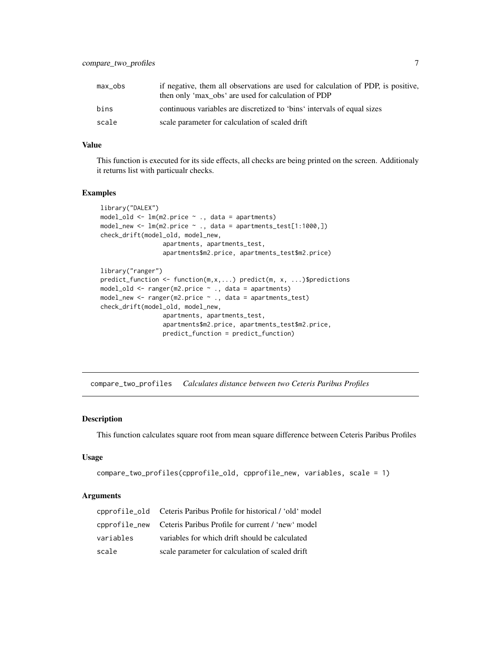<span id="page-6-0"></span>

| max_obs | if negative, them all observations are used for calculation of PDP, is positive,<br>then only 'max_obs' are used for calculation of PDP |
|---------|-----------------------------------------------------------------------------------------------------------------------------------------|
| bins    | continuous variables are discretized to 'bins' intervals of equal sizes                                                                 |
| scale   | scale parameter for calculation of scaled drift                                                                                         |

#### Value

This function is executed for its side effects, all checks are being printed on the screen. Additionaly it returns list with particualr checks.

#### Examples

```
library("DALEX")
model_old \leq lm(m2.price \sim ., data = apartments)
model_new \leq 1m(m2.price \sim., data = apartments_test[1:1000,])
check_drift(model_old, model_new,
                 apartments, apartments_test,
                 apartments$m2.price, apartments_test$m2.price)
library("ranger")
```

```
predict_function <- function(m,x,...) predict(m, x, ...)$predictions
model_old <- ranger(m2.price ~ ., data = apartments)
model_new <- ranger(m2.price ~ ., data = apartments_test)
check_drift(model_old, model_new,
                 apartments, apartments_test,
                 apartments$m2.price, apartments_test$m2.price,
                 predict_function = predict_function)
```
compare\_two\_profiles *Calculates distance between two Ceteris Paribus Profiles*

#### Description

This function calculates square root from mean square difference between Ceteris Paribus Profiles

#### Usage

```
compare_two_profiles(cpprofile_old, cpprofile_new, variables, scale = 1)
```
#### **Arguments**

|           | cpprofile_old    Ceteris Paribus Profile for historical / 'old' model |
|-----------|-----------------------------------------------------------------------|
|           | cpprofile_new Ceteris Paribus Profile for current / 'new' model       |
| variables | variables for which drift should be calculated                        |
| scale     | scale parameter for calculation of scaled drift                       |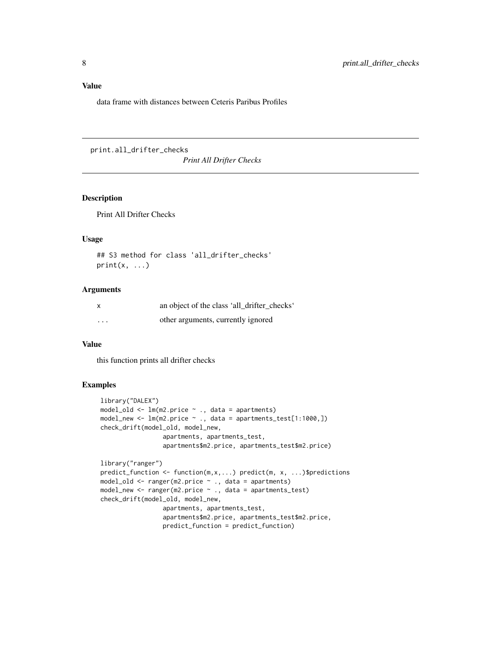#### <span id="page-7-0"></span>Value

data frame with distances between Ceteris Paribus Profiles

```
print.all_drifter_checks
```
*Print All Drifter Checks*

#### Description

Print All Drifter Checks

#### Usage

```
## S3 method for class 'all_drifter_checks'
print(x, \ldots)
```
#### Arguments

| X        | an object of the class 'all drifter checks' |
|----------|---------------------------------------------|
| $\cdots$ | other arguments, currently ignored          |

#### Value

this function prints all drifter checks

#### Examples

```
library("DALEX")
model_old <- lm(m2.price ~ ., data = apartments)
model_new <- lm(m2.price ~ ., data = apartments_test[1:1000,])
check_drift(model_old, model_new,
                 apartments, apartments_test,
                 apartments$m2.price, apartments_test$m2.price)
library("ranger")
predict_function <- function(m,x,...) predict(m, x, ...)$predictions
model_old <- ranger(m2.price ~ ., data = apartments)
model_new <- ranger(m2.price ~ ., data = apartments_test)
check_drift(model_old, model_new,
                 apartments, apartments_test,
```
apartments\$m2.price, apartments\_test\$m2.price, predict\_function = predict\_function)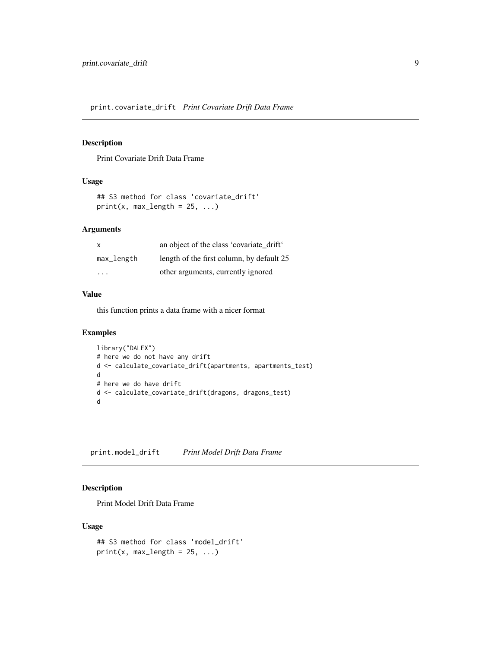<span id="page-8-0"></span>print.covariate\_drift *Print Covariate Drift Data Frame*

#### Description

Print Covariate Drift Data Frame

#### Usage

```
## S3 method for class 'covariate_drift'
print(x, max_length = 25, ...)
```
#### Arguments

| $\mathsf{x}$ | an object of the class 'covariate drift'  |
|--------------|-------------------------------------------|
| max_length   | length of the first column, by default 25 |
| .            | other arguments, currently ignored        |

#### Value

this function prints a data frame with a nicer format

#### Examples

```
library("DALEX")
# here we do not have any drift
d <- calculate_covariate_drift(apartments, apartments_test)
d
# here we do have drift
d <- calculate_covariate_drift(dragons, dragons_test)
d
```
print.model\_drift *Print Model Drift Data Frame*

#### Description

Print Model Drift Data Frame

#### Usage

```
## S3 method for class 'model_drift'
print(x, max_length = 25, ...)
```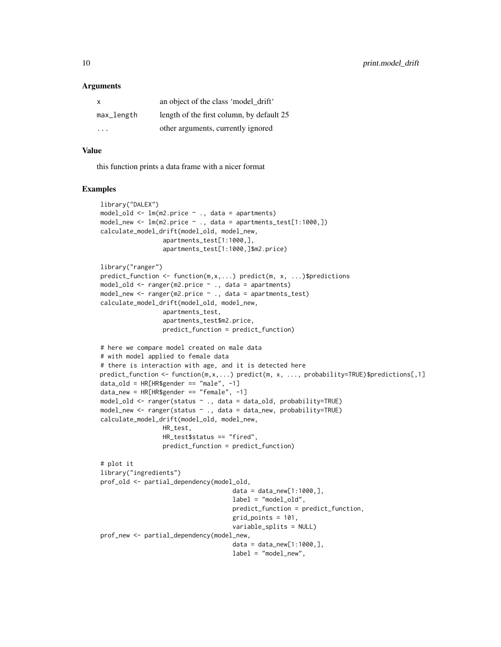#### **Arguments**

| $\mathsf{x}$ | an object of the class 'model drift'      |
|--------------|-------------------------------------------|
| max_length   | length of the first column, by default 25 |
| .            | other arguments, currently ignored        |

#### Value

this function prints a data frame with a nicer format

#### Examples

```
library("DALEX")
model_old <- lm(m2.price ~ ., data = apartments)
model_new \leq 1m(m2.price \sim ., data = apartments_test[1:1000.])
calculate_model_drift(model_old, model_new,
                 apartments_test[1:1000,],
                 apartments_test[1:1000,]$m2.price)
library("ranger")
predict_function <- function(m,x,...) predict(m, x, ...)$predictions
model_old <- ranger(m2.price ~ ., data = apartments)
model_new <- ranger(m2.price ~ ., data = apartments_test)
calculate_model_drift(model_old, model_new,
                 apartments_test,
                 apartments_test$m2.price,
                 predict_function = predict_function)
# here we compare model created on male data
# with model applied to female data
# there is interaction with age, and it is detected here
predict_function <- function(m,x,...) predict(m, x, ..., probability=TRUE)$predictions[,1]
data\_old = HR[HR$gender == "male", -1]data_new = HR[HR$gender == "female", -1]
model_old <- ranger(status ~ ., data = data_old, probability=TRUE)
model_new <- ranger(status ~ ., data = data_new, probability=TRUE)
calculate_model_drift(model_old, model_new,
                 HR_test,
                 HR_test$status == "fired",
                 predict_function = predict_function)
# plot it
library("ingredients")
prof_old <- partial_dependency(model_old,
                                    data = data_new[1:1000,],
                                    label = "model_old",
                                    predict_function = predict_function,
                                    grid_points = 101,
                                    variable_splits = NULL)
prof_new <- partial_dependency(model_new,
                                    data = data_new[1:1000,],
                                    label = "model_new",
```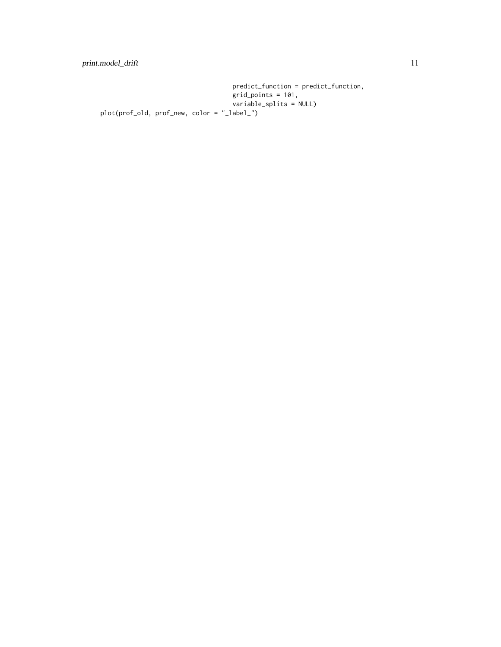predict\_function = predict\_function, grid\_points = 101, variable\_splits = NULL) plot(prof\_old, prof\_new, color = "\_label\_")